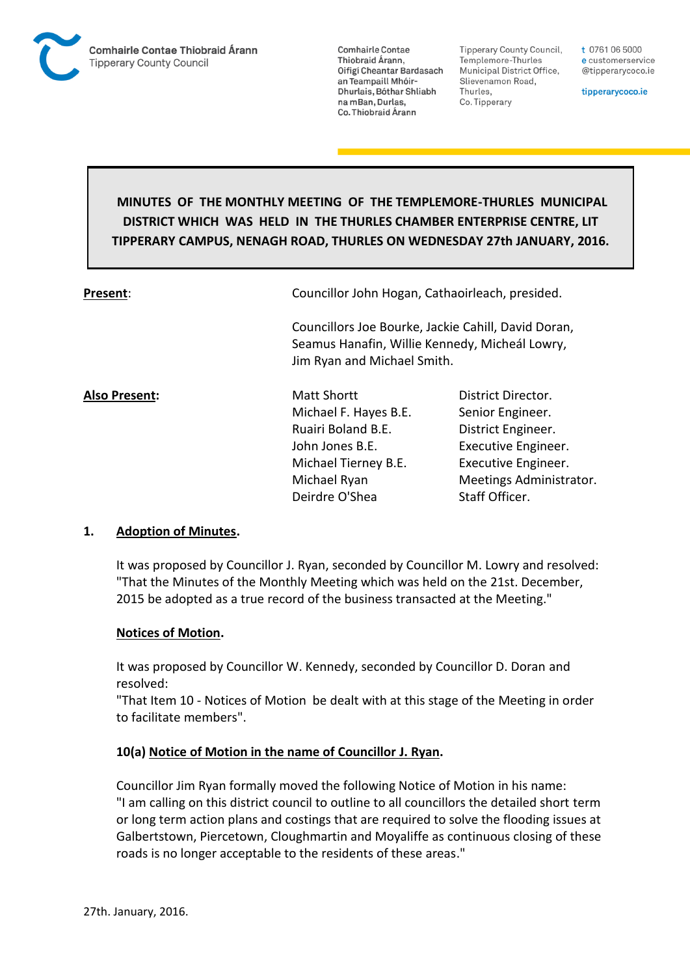

Tipperary County Council. Templemore-Thurles Municipal District Office, Slievenamon Road, Thurles, Co. Tipperary

t 0761 06 5000 e customerservice @tipperarycoco.ie

tipperarycoco.ie

# **MINUTES OF THE MONTHLY MEETING OF THE TEMPLEMORE-THURLES MUNICIPAL DISTRICT WHICH WAS HELD IN THE THURLES CHAMBER ENTERPRISE CENTRE, LIT TIPPERARY CAMPUS, NENAGH ROAD, THURLES ON WEDNESDAY 27th JANUARY, 2016.**

**Present:** Councillor John Hogan, Cathaoirleach, presided.

Councillors Joe Bourke, Jackie Cahill, David Doran, Seamus Hanafin, Willie Kennedy, Micheál Lowry, Jim Ryan and Michael Smith.

**Also Present:** Matt Shortt District Director. Michael F. Hayes B.E. Senior Engineer. Ruairi Boland B.E. District Engineer. John Jones B.E. Executive Engineer. Michael Tierney B.E. Executive Engineer. Deirdre O'Shea Staff Officer.

Michael Ryan Meetings Administrator.

#### **1. Adoption of Minutes.**

It was proposed by Councillor J. Ryan, seconded by Councillor M. Lowry and resolved: "That the Minutes of the Monthly Meeting which was held on the 21st. December, 2015 be adopted as a true record of the business transacted at the Meeting."

#### **Notices of Motion.**

It was proposed by Councillor W. Kennedy, seconded by Councillor D. Doran and resolved:

"That Item 10 - Notices of Motion be dealt with at this stage of the Meeting in order to facilitate members".

#### **10(a) Notice of Motion in the name of Councillor J. Ryan.**

Councillor Jim Ryan formally moved the following Notice of Motion in his name: "I am calling on this district council to outline to all councillors the detailed short term or long term action plans and costings that are required to solve the flooding issues at Galbertstown, Piercetown, Cloughmartin and Moyaliffe as continuous closing of these roads is no longer acceptable to the residents of these areas."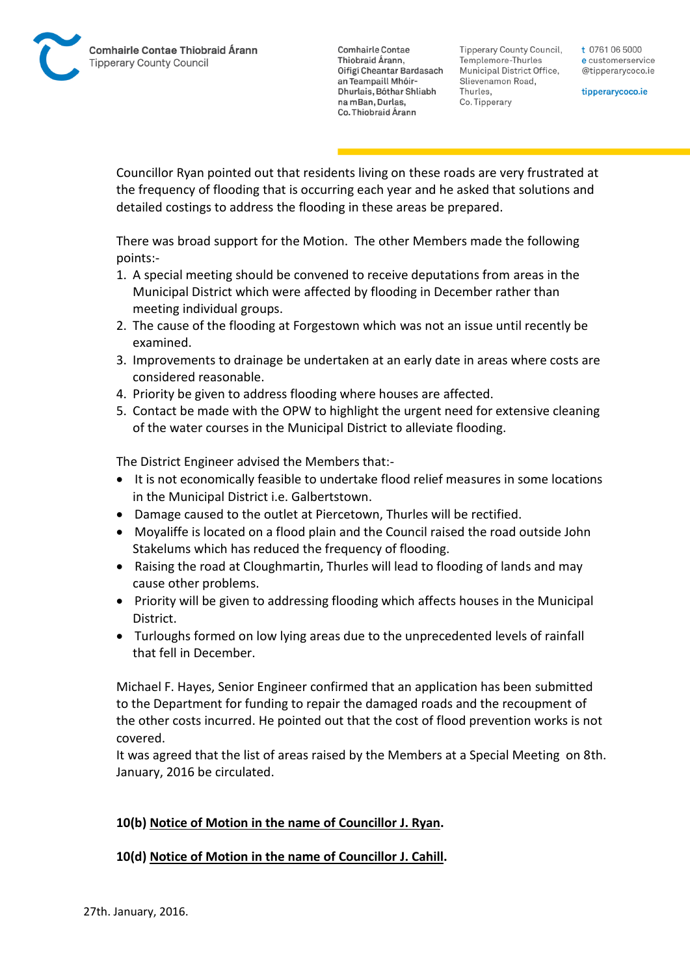Tipperary County Council. Templemore-Thurles Municipal District Office, Slievenamon Road, Thurles, Co. Tipperary

t 0761 06 5000 e customerservice @tipperarycoco.ie

tipperarycoco.ie

Councillor Ryan pointed out that residents living on these roads are very frustrated at the frequency of flooding that is occurring each year and he asked that solutions and detailed costings to address the flooding in these areas be prepared.

There was broad support for the Motion. The other Members made the following points:-

- 1. A special meeting should be convened to receive deputations from areas in the Municipal District which were affected by flooding in December rather than meeting individual groups.
- 2. The cause of the flooding at Forgestown which was not an issue until recently be examined.
- 3. Improvements to drainage be undertaken at an early date in areas where costs are considered reasonable.
- 4. Priority be given to address flooding where houses are affected.
- 5. Contact be made with the OPW to highlight the urgent need for extensive cleaning of the water courses in the Municipal District to alleviate flooding.

The District Engineer advised the Members that:-

- It is not economically feasible to undertake flood relief measures in some locations in the Municipal District i.e. Galbertstown.
- Damage caused to the outlet at Piercetown, Thurles will be rectified.
- Moyaliffe is located on a flood plain and the Council raised the road outside John Stakelums which has reduced the frequency of flooding.
- Raising the road at Cloughmartin, Thurles will lead to flooding of lands and may cause other problems.
- Priority will be given to addressing flooding which affects houses in the Municipal District.
- Turloughs formed on low lying areas due to the unprecedented levels of rainfall that fell in December.

Michael F. Hayes, Senior Engineer confirmed that an application has been submitted to the Department for funding to repair the damaged roads and the recoupment of the other costs incurred. He pointed out that the cost of flood prevention works is not covered.

It was agreed that the list of areas raised by the Members at a Special Meeting on 8th. January, 2016 be circulated.

## **10(b) Notice of Motion in the name of Councillor J. Ryan.**

## **10(d) Notice of Motion in the name of Councillor J. Cahill.**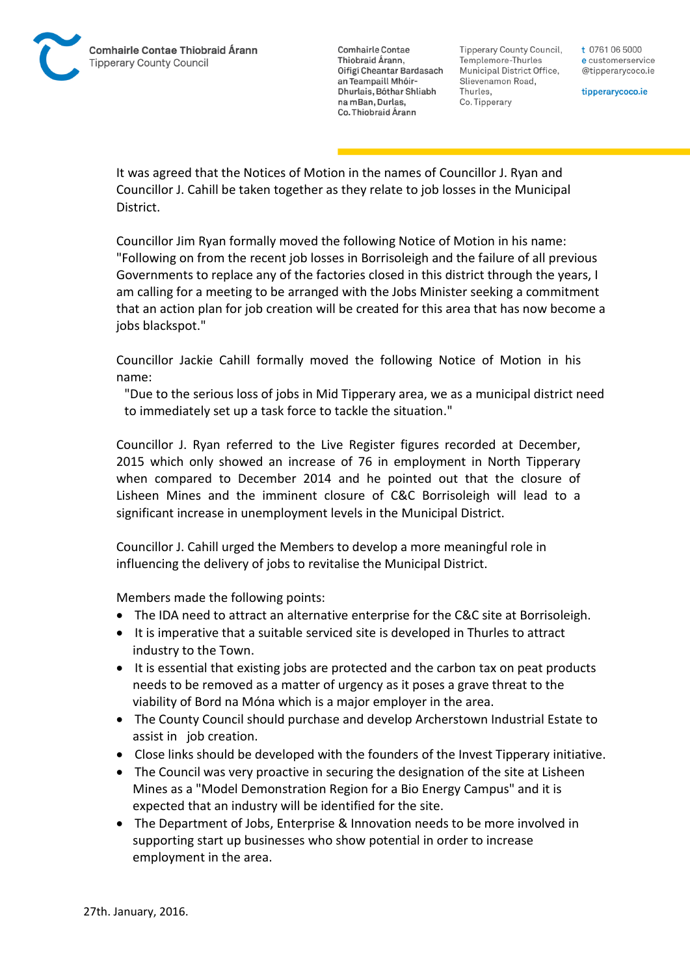

Tipperary County Council. Templemore-Thurles Municipal District Office, Slievenamon Road, Thurles, Co. Tipperary

t 0761 06 5000 e customerservice @tipperarycoco.ie

tipperarycoco.ie

It was agreed that the Notices of Motion in the names of Councillor J. Ryan and Councillor J. Cahill be taken together as they relate to job losses in the Municipal District.

Councillor Jim Ryan formally moved the following Notice of Motion in his name: "Following on from the recent job losses in Borrisoleigh and the failure of all previous Governments to replace any of the factories closed in this district through the years, I am calling for a meeting to be arranged with the Jobs Minister seeking a commitment that an action plan for job creation will be created for this area that has now become a jobs blackspot."

Councillor Jackie Cahill formally moved the following Notice of Motion in his name:

"Due to the serious loss of jobs in Mid Tipperary area, we as a municipal district need to immediately set up a task force to tackle the situation."

Councillor J. Ryan referred to the Live Register figures recorded at December, 2015 which only showed an increase of 76 in employment in North Tipperary when compared to December 2014 and he pointed out that the closure of Lisheen Mines and the imminent closure of C&C Borrisoleigh will lead to a significant increase in unemployment levels in the Municipal District.

Councillor J. Cahill urged the Members to develop a more meaningful role in influencing the delivery of jobs to revitalise the Municipal District.

Members made the following points:

- The IDA need to attract an alternative enterprise for the C&C site at Borrisoleigh.
- It is imperative that a suitable serviced site is developed in Thurles to attract industry to the Town.
- It is essential that existing jobs are protected and the carbon tax on peat products needs to be removed as a matter of urgency as it poses a grave threat to the viability of Bord na Móna which is a major employer in the area.
- The County Council should purchase and develop Archerstown Industrial Estate to assist in job creation.
- Close links should be developed with the founders of the Invest Tipperary initiative.
- The Council was very proactive in securing the designation of the site at Lisheen Mines as a "Model Demonstration Region for a Bio Energy Campus" and it is expected that an industry will be identified for the site.
- The Department of Jobs, Enterprise & Innovation needs to be more involved in supporting start up businesses who show potential in order to increase employment in the area.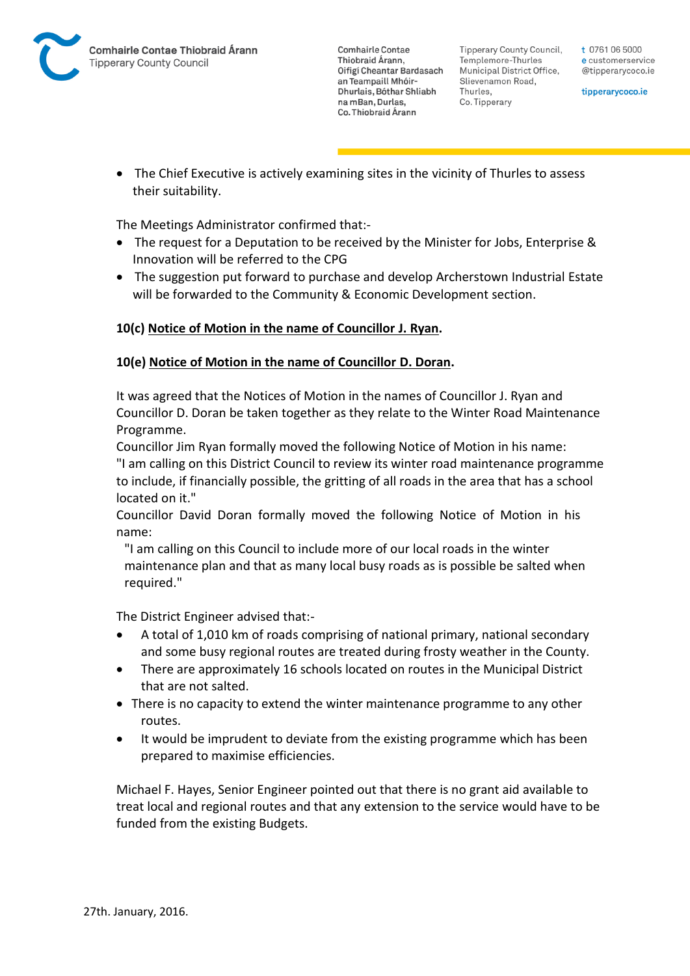

Tipperary County Council. Templemore-Thurles Municipal District Office, Slievenamon Road, Thurles, Co. Tipperary

t 0761 06 5000 e customerservice @tipperarycoco.ie

tipperarycoco.ie

 The Chief Executive is actively examining sites in the vicinity of Thurles to assess their suitability.

The Meetings Administrator confirmed that:-

- The request for a Deputation to be received by the Minister for Jobs, Enterprise & Innovation will be referred to the CPG
- The suggestion put forward to purchase and develop Archerstown Industrial Estate will be forwarded to the Community & Economic Development section.

## **10(c) Notice of Motion in the name of Councillor J. Ryan.**

#### **10(e) Notice of Motion in the name of Councillor D. Doran.**

It was agreed that the Notices of Motion in the names of Councillor J. Ryan and Councillor D. Doran be taken together as they relate to the Winter Road Maintenance Programme.

Councillor Jim Ryan formally moved the following Notice of Motion in his name: "I am calling on this District Council to review its winter road maintenance programme to include, if financially possible, the gritting of all roads in the area that has a school located on it."

Councillor David Doran formally moved the following Notice of Motion in his name:

"I am calling on this Council to include more of our local roads in the winter maintenance plan and that as many local busy roads as is possible be salted when required."

The District Engineer advised that:-

- A total of 1,010 km of roads comprising of national primary, national secondary and some busy regional routes are treated during frosty weather in the County.
- There are approximately 16 schools located on routes in the Municipal District that are not salted.
- There is no capacity to extend the winter maintenance programme to any other routes.
- It would be imprudent to deviate from the existing programme which has been prepared to maximise efficiencies.

Michael F. Hayes, Senior Engineer pointed out that there is no grant aid available to treat local and regional routes and that any extension to the service would have to be funded from the existing Budgets.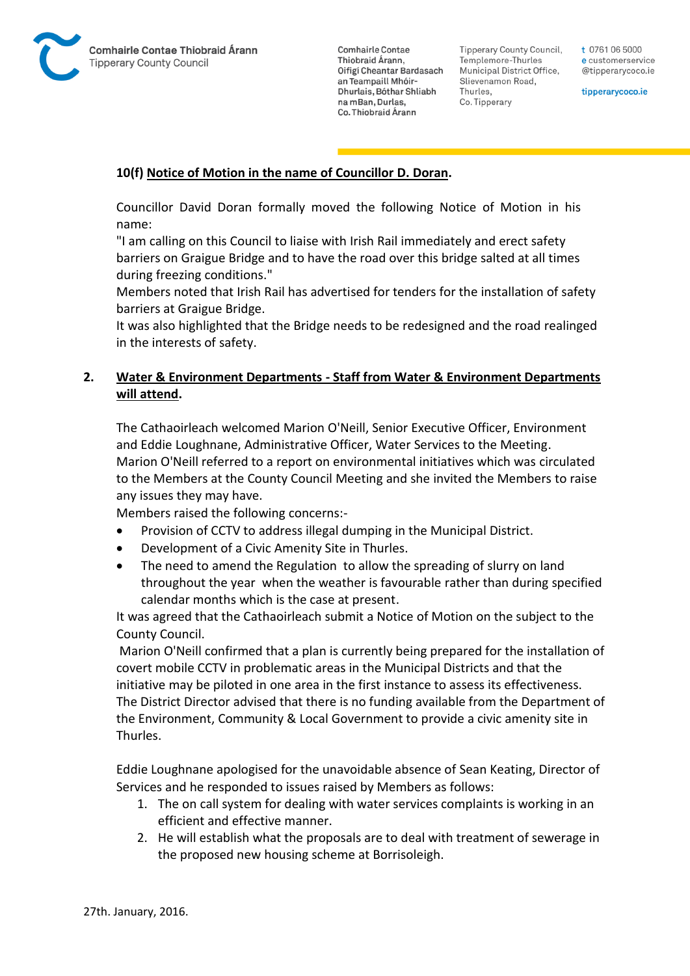

Tipperary County Council. Templemore-Thurles Municipal District Office, Slievenamon Road, Thurles, Co. Tipperary

t 0761 06 5000 e customerservice @tipperarycoco.ie

tipperarycoco.ie

### **10(f) Notice of Motion in the name of Councillor D. Doran.**

Councillor David Doran formally moved the following Notice of Motion in his name:

"I am calling on this Council to liaise with Irish Rail immediately and erect safety barriers on Graigue Bridge and to have the road over this bridge salted at all times during freezing conditions."

Members noted that Irish Rail has advertised for tenders for the installation of safety barriers at Graigue Bridge.

It was also highlighted that the Bridge needs to be redesigned and the road realinged in the interests of safety.

## **2. Water & Environment Departments - Staff from Water & Environment Departments will attend.**

The Cathaoirleach welcomed Marion O'Neill, Senior Executive Officer, Environment and Eddie Loughnane, Administrative Officer, Water Services to the Meeting. Marion O'Neill referred to a report on environmental initiatives which was circulated to the Members at the County Council Meeting and she invited the Members to raise any issues they may have.

Members raised the following concerns:-

- Provision of CCTV to address illegal dumping in the Municipal District.
- Development of a Civic Amenity Site in Thurles.
- The need to amend the Regulation to allow the spreading of slurry on land throughout the year when the weather is favourable rather than during specified calendar months which is the case at present.

It was agreed that the Cathaoirleach submit a Notice of Motion on the subject to the County Council.

Marion O'Neill confirmed that a plan is currently being prepared for the installation of covert mobile CCTV in problematic areas in the Municipal Districts and that the initiative may be piloted in one area in the first instance to assess its effectiveness. The District Director advised that there is no funding available from the Department of the Environment, Community & Local Government to provide a civic amenity site in Thurles.

Eddie Loughnane apologised for the unavoidable absence of Sean Keating, Director of Services and he responded to issues raised by Members as follows:

- 1. The on call system for dealing with water services complaints is working in an efficient and effective manner.
- 2. He will establish what the proposals are to deal with treatment of sewerage in the proposed new housing scheme at Borrisoleigh.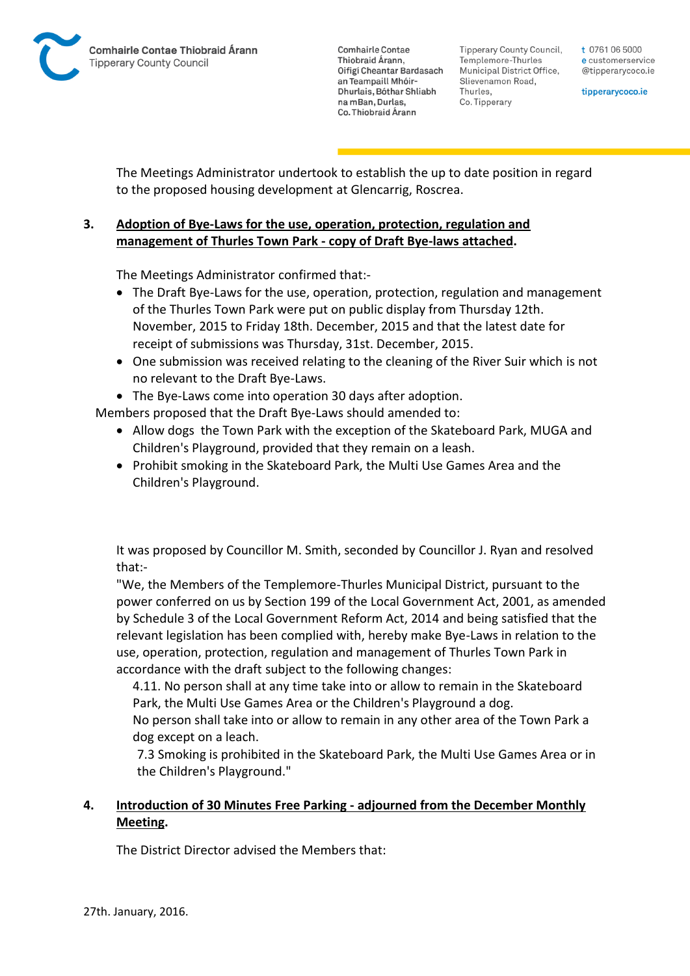Tipperary County Council. Templemore-Thurles Municipal District Office, Slievenamon Road, Thurles, Co. Tipperary

t 0761 06 5000 e customerservice @tipperarycoco.ie

tipperarycoco.ie

The Meetings Administrator undertook to establish the up to date position in regard to the proposed housing development at Glencarrig, Roscrea.

## **3. Adoption of Bye-Laws for the use, operation, protection, regulation and management of Thurles Town Park - copy of Draft Bye-laws attached.**

The Meetings Administrator confirmed that:-

- The Draft Bye-Laws for the use, operation, protection, regulation and management of the Thurles Town Park were put on public display from Thursday 12th. November, 2015 to Friday 18th. December, 2015 and that the latest date for receipt of submissions was Thursday, 31st. December, 2015.
- One submission was received relating to the cleaning of the River Suir which is not no relevant to the Draft Bye-Laws.
- The Bye-Laws come into operation 30 days after adoption.

Members proposed that the Draft Bye-Laws should amended to:

- Allow dogs the Town Park with the exception of the Skateboard Park, MUGA and Children's Playground, provided that they remain on a leash.
- Prohibit smoking in the Skateboard Park, the Multi Use Games Area and the Children's Playground.

It was proposed by Councillor M. Smith, seconded by Councillor J. Ryan and resolved that:-

"We, the Members of the Templemore-Thurles Municipal District, pursuant to the power conferred on us by Section 199 of the Local Government Act, 2001, as amended by Schedule 3 of the Local Government Reform Act, 2014 and being satisfied that the relevant legislation has been complied with, hereby make Bye-Laws in relation to the use, operation, protection, regulation and management of Thurles Town Park in accordance with the draft subject to the following changes:

4.11. No person shall at any time take into or allow to remain in the Skateboard Park, the Multi Use Games Area or the Children's Playground a dog.

No person shall take into or allow to remain in any other area of the Town Park a dog except on a leach.

7.3 Smoking is prohibited in the Skateboard Park, the Multi Use Games Area or in the Children's Playground."

## **4. Introduction of 30 Minutes Free Parking - adjourned from the December Monthly Meeting.**

The District Director advised the Members that: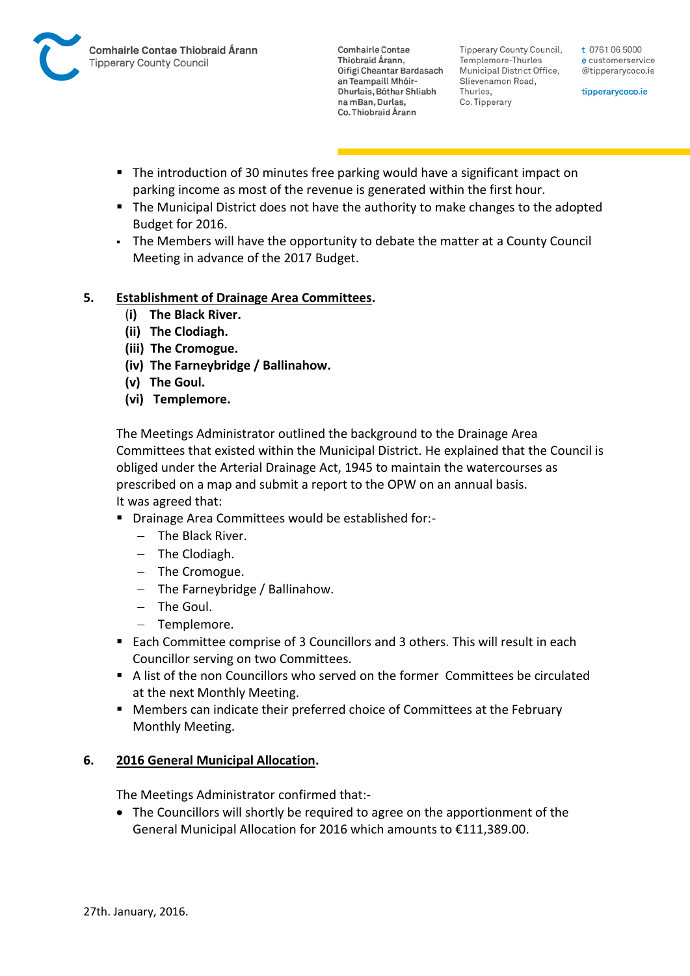

Tipperary County Council. Templemore-Thurles Municipal District Office, Slievenamon Road, Thurles, Co. Tipperary

t 0761 06 5000 e customerservice @tipperarycoco.ie

tipperarycoco.ie

- The introduction of 30 minutes free parking would have a significant impact on parking income as most of the revenue is generated within the first hour.
- The Municipal District does not have the authority to make changes to the adopted Budget for 2016.
- The Members will have the opportunity to debate the matter at a County Council Meeting in advance of the 2017 Budget.

## **5. Establishment of Drainage Area Committees.**

- (**i) The Black River.**
- **(ii) The Clodiagh.**
- **(iii) The Cromogue.**
- **(iv) The Farneybridge / Ballinahow.**
- **(v) The Goul.**
- **(vi) Templemore.**

The Meetings Administrator outlined the background to the Drainage Area Committees that existed within the Municipal District. He explained that the Council is obliged under the Arterial Drainage Act, 1945 to maintain the watercourses as prescribed on a map and submit a report to the OPW on an annual basis. It was agreed that:

- Drainage Area Committees would be established for:-
	- $-$  The Black River.
	- $-$  The Clodiagh.
	- $-$  The Cromogue.
	- $-$  The Farneybridge / Ballinahow.
	- $-$  The Goul.
	- Templemore.
- Each Committee comprise of 3 Councillors and 3 others. This will result in each Councillor serving on two Committees.
- A list of the non Councillors who served on the former Committees be circulated at the next Monthly Meeting.
- Members can indicate their preferred choice of Committees at the February Monthly Meeting.

## **6. 2016 General Municipal Allocation.**

The Meetings Administrator confirmed that:-

• The Councillors will shortly be required to agree on the apportionment of the General Municipal Allocation for 2016 which amounts to €111,389.00.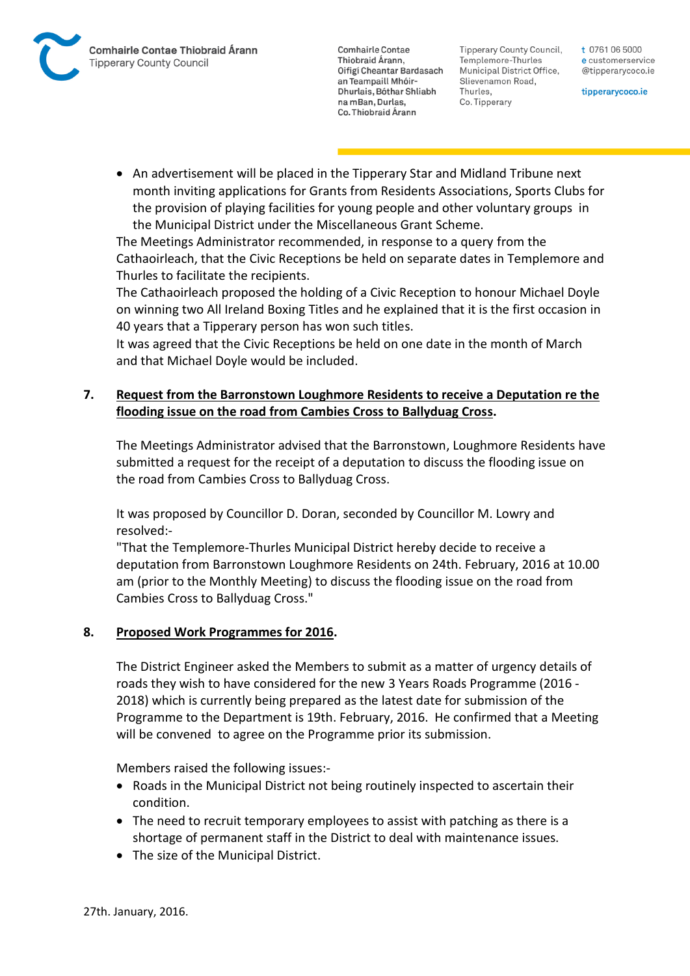Tipperary County Council. Templemore-Thurles Municipal District Office, Slievenamon Road, Thurles, Co. Tipperary

t 0761 06 5000 e customerservice @tipperarycoco.ie

tipperarycoco.ie

 An advertisement will be placed in the Tipperary Star and Midland Tribune next month inviting applications for Grants from Residents Associations, Sports Clubs for the provision of playing facilities for young people and other voluntary groups in the Municipal District under the Miscellaneous Grant Scheme.

The Meetings Administrator recommended, in response to a query from the Cathaoirleach, that the Civic Receptions be held on separate dates in Templemore and Thurles to facilitate the recipients.

The Cathaoirleach proposed the holding of a Civic Reception to honour Michael Doyle on winning two All Ireland Boxing Titles and he explained that it is the first occasion in 40 years that a Tipperary person has won such titles.

It was agreed that the Civic Receptions be held on one date in the month of March and that Michael Doyle would be included.

## **7. Request from the Barronstown Loughmore Residents to receive a Deputation re the flooding issue on the road from Cambies Cross to Ballyduag Cross.**

The Meetings Administrator advised that the Barronstown, Loughmore Residents have submitted a request for the receipt of a deputation to discuss the flooding issue on the road from Cambies Cross to Ballyduag Cross.

It was proposed by Councillor D. Doran, seconded by Councillor M. Lowry and resolved:-

"That the Templemore-Thurles Municipal District hereby decide to receive a deputation from Barronstown Loughmore Residents on 24th. February, 2016 at 10.00 am (prior to the Monthly Meeting) to discuss the flooding issue on the road from Cambies Cross to Ballyduag Cross."

## **8. Proposed Work Programmes for 2016.**

The District Engineer asked the Members to submit as a matter of urgency details of roads they wish to have considered for the new 3 Years Roads Programme (2016 - 2018) which is currently being prepared as the latest date for submission of the Programme to the Department is 19th. February, 2016. He confirmed that a Meeting will be convened to agree on the Programme prior its submission.

Members raised the following issues:-

- Roads in the Municipal District not being routinely inspected to ascertain their condition.
- The need to recruit temporary employees to assist with patching as there is a shortage of permanent staff in the District to deal with maintenance issues.
- The size of the Municipal District.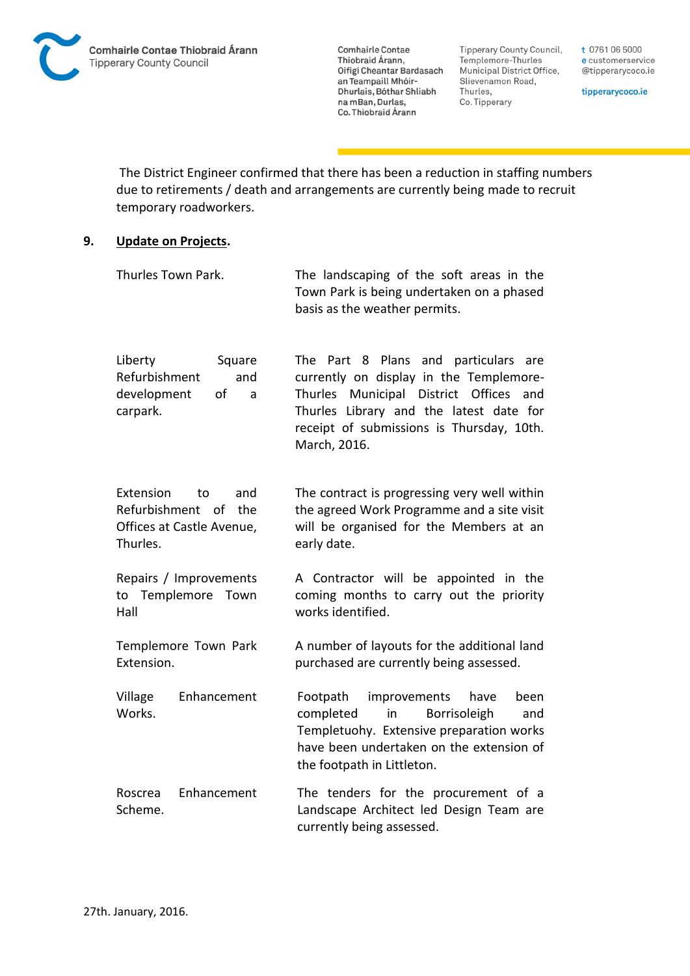Tipperary County Council, Templemore-Thurles Municipal District Office, Slievenamon Road, Thurles, Co. Tipperary

t 0761 06 5000 e customerservice @tipperarycoco.ie

tipperarycoco.ie

The District Engineer confirmed that there has been a reduction in staffing numbers due to retirements / death and arrangements are currently being made to recruit temporary roadworkers.

#### **9. Update on Projects.**

| Thurles Town Park.                                                                         | The landscaping of the soft areas in the<br>Town Park is being undertaken on a phased<br>basis as the weather permits.                                                                                                                             |
|--------------------------------------------------------------------------------------------|----------------------------------------------------------------------------------------------------------------------------------------------------------------------------------------------------------------------------------------------------|
| Liberty<br>Square<br>Refurbishment<br>and<br>development<br>of<br>a<br>carpark.            | Part 8 Plans<br>and particulars<br>The .<br>are<br>currently on display in the Templemore-<br>Thurles<br>Municipal District Offices<br>and<br>Thurles Library and the latest date for<br>receipt of submissions is Thursday, 10th.<br>March, 2016. |
| Extension<br>and<br>to<br>Refurbishment of<br>the<br>Offices at Castle Avenue,<br>Thurles. | The contract is progressing very well within<br>the agreed Work Programme and a site visit<br>will be organised for the Members at an<br>early date.                                                                                               |
| Repairs / Improvements<br>Templemore<br>Town<br>to<br>Hall                                 | A Contractor will be appointed in the<br>coming months to carry out the priority<br>works identified.                                                                                                                                              |
| Templemore Town Park<br>Extension.                                                         | A number of layouts for the additional land<br>purchased are currently being assessed.                                                                                                                                                             |
| Enhancement<br>Village<br>Works.                                                           | Footpath<br>improvements<br>been<br>have<br>completed<br>in<br>Borrisoleigh<br>and<br>Templetuohy. Extensive preparation works<br>have been undertaken on the extension of<br>the footpath in Littleton.                                           |
| Enhancement<br>Roscrea<br>Scheme.                                                          | The tenders for the procurement of a<br>Landscape Architect led Design Team are<br>currently being assessed.                                                                                                                                       |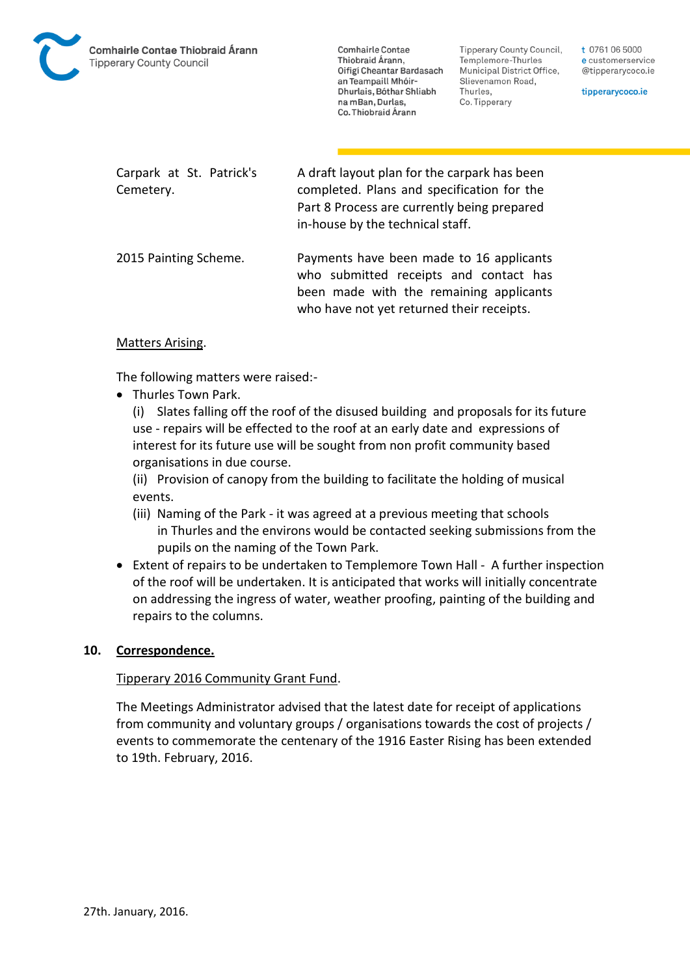

Tipperary County Council. Templemore-Thurles Municipal District Office, Slievenamon Road, Thurles, Co. Tipperary

t 0761 06 5000 e customerservice @tipperarycoco.ie

tipperarycoco.ie

Carpark at St. Patrick's Cemetery. A draft layout plan for the carpark has been completed. Plans and specification for the Part 8 Process are currently being prepared in-house by the technical staff.

2015 Painting Scheme. Payments have been made to 16 applicants who submitted receipts and contact has been made with the remaining applicants who have not yet returned their receipts.

#### Matters Arising.

The following matters were raised:-

• Thurles Town Park.

(i) Slates falling off the roof of the disused building and proposals for its future use - repairs will be effected to the roof at an early date and expressions of interest for its future use will be sought from non profit community based organisations in due course.

(ii) Provision of canopy from the building to facilitate the holding of musical events.

- (iii) Naming of the Park it was agreed at a previous meeting that schools in Thurles and the environs would be contacted seeking submissions from the pupils on the naming of the Town Park.
- Extent of repairs to be undertaken to Templemore Town Hall A further inspection of the roof will be undertaken. It is anticipated that works will initially concentrate on addressing the ingress of water, weather proofing, painting of the building and repairs to the columns.

#### **10. Correspondence.**

#### Tipperary 2016 Community Grant Fund.

The Meetings Administrator advised that the latest date for receipt of applications from community and voluntary groups / organisations towards the cost of projects / events to commemorate the centenary of the 1916 Easter Rising has been extended to 19th. February, 2016.